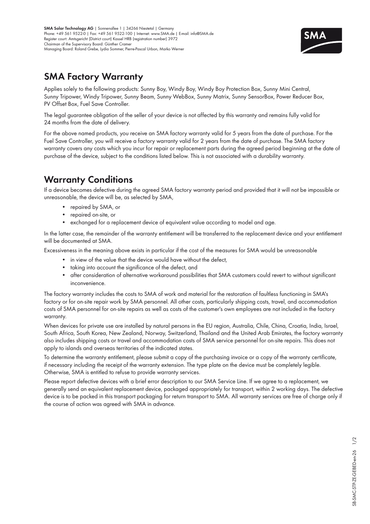

## **SMA Factory Warranty**

Applies solely to the following products: Sunny Boy, Windy Boy, Windy Boy Protection Box, Sunny Mini Central, Sunny Tripower, Windy Tripower, Sunny Beam, Sunny WebBox, Sunny Matrix, Sunny SensorBox, Power Reducer Box, PV Offset Box, Fuel Save Controller.

The legal guarantee obligation of the seller of your device is not affected by this warranty and remains fully valid for 24 months from the date of delivery.

For the above named products, you receive an SMA factory warranty valid for 5 years from the date of purchase. For the Fuel Save Controller, you will receive a factory warranty valid for 2 years from the date of purchase. The SMA factory warranty covers any costs which you incur for repair or replacement parts during the agreed period beginning at the date of purchase of the device, subject to the conditions listed below. This is not associated with a durability warranty.

# **Warranty Conditions**

If a device becomes defective during the agreed SMA factory warranty period and provided that it will not be impossible or unreasonable, the device will be, as selected by SMA,

- repaired by SMA, or
- repaired on-site, or
- exchanged for a replacement device of equivalent value according to model and age.

In the latter case, the remainder of the warranty entitlement will be transferred to the replacement device and your entitlement will be documented at SMA.

Excessiveness in the meaning above exists in particular if the cost of the measures for SMA would be unreasonable

- in view of the value that the device would have without the defect,
- taking into account the significance of the defect, and
- after consideration of alternative workaround possibilities that SMA customers could revert to without significant inconvenience.

The factory warranty includes the costs to SMA of work and material for the restoration of faultless functioning in SMA's factory or for on-site repair work by SMA personnel. All other costs, particularly shipping costs, travel, and accommodation costs of SMA personnel for on-site repairs as well as costs of the customer's own employees are not included in the factory warranty.

When devices for private use are installed by natural persons in the EU region, Australia, Chile, China, Croatia, India, Israel, South Africa, South Korea, New Zealand, Norway, Switzerland, Thailand and the United Arab Emirates, the factory warranty also includes shipping costs or travel and accommodation costs of SMA service personnel for on-site repairs. This does not apply to islands and overseas territories of the indicated states.

To determine the warranty entitlement, please submit a copy of the purchasing invoice or a copy of the warranty certificate, if necessary including the receipt of the warranty extension. The type plate on the device must be completely legible. Otherwise, SMA is entitled to refuse to provide warranty services.

Please report defective devices with a brief error description to our SMA Service Line. If we agree to a replacement, we generally send an equivalent replacement device, packaged appropriately for transport, within 2 working days. The defective device is to be packed in this transport packaging for return transport to SMA. All warranty services are free of charge only if the course of action was agreed with SMA in advance.